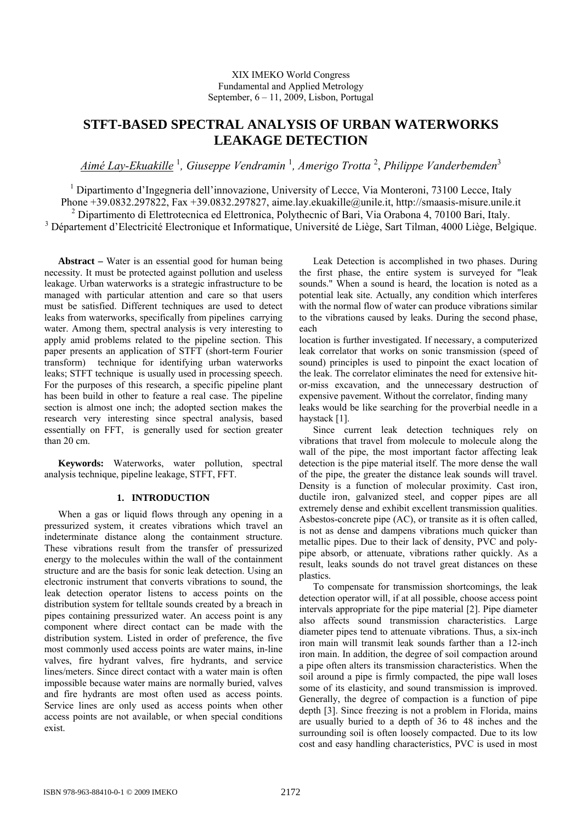### XIX IMEKO World Congress Fundamental and Applied Metrology September, 6 – 11, 2009, Lisbon, Portugal

# **STFT-BASED SPECTRAL ANALYSIS OF URBAN WATERWORKS LEAKAGE DETECTION**

*Aimé Lay-Ekuakille* <sup>1</sup> *, Giuseppe Vendramin* <sup>1</sup> *, Amerigo Trotta* <sup>2</sup> , *Philippe Vanderbemden*<sup>3</sup>

<sup>1</sup> Dipartimento d'Ingegneria dell'innovazione, University of Lecce, Via Monteroni, 73100 Lecce, Italy Phone +39.0832.297822, Fax +39.0832.297827, aime.lay.ekuakille@unile.it, http://smaasis-misure.unile.it <sup>2</sup> Dipartimento di Elettrotecnica ed Elettronica, Polythecnic of Bari, Via Orabona 4, 70100 Bari, Italy. <sup>3</sup> Département d'Electricité Electronique et Informatique, Université de Liège, Sart Tilman, 4000 Liège, Belgique.

**Abstract –** Water is an essential good for human being necessity. It must be protected against pollution and useless leakage. Urban waterworks is a strategic infrastructure to be managed with particular attention and care so that users must be satisfied. Different techniques are used to detect leaks from waterworks, specifically from pipelines carrying water. Among them, spectral analysis is very interesting to apply amid problems related to the pipeline section. This paper presents an application of STFT (short-term Fourier transform) technique for identifying urban waterworks leaks; STFT technique is usually used in processing speech. For the purposes of this research, a specific pipeline plant has been build in other to feature a real case. The pipeline section is almost one inch; the adopted section makes the research very interesting since spectral analysis, based essentially on FFT, is generally used for section greater than 20 cm.

 **Keywords:** Waterworks, water pollution, spectral analysis technique, pipeline leakage, STFT, FFT.

## **1. INTRODUCTION**

When a gas or liquid flows through any opening in a pressurized system, it creates vibrations which travel an indeterminate distance along the containment structure. These vibrations result from the transfer of pressurized energy to the molecules within the wall of the containment structure and are the basis for sonic leak detection. Using an electronic instrument that converts vibrations to sound, the leak detection operator listens to access points on the distribution system for telltale sounds created by a breach in pipes containing pressurized water. An access point is any component where direct contact can be made with the distribution system. Listed in order of preference, the five most commonly used access points are water mains, in-line valves, fire hydrant valves, fire hydrants, and service lines/meters. Since direct contact with a water main is often impossible because water mains are normally buried, valves and fire hydrants are most often used as access points. Service lines are only used as access points when other access points are not available, or when special conditions exist.

Leak Detection is accomplished in two phases. During the first phase, the entire system is surveyed for "leak sounds." When a sound is heard, the location is noted as a potential leak site. Actually, any condition which interferes with the normal flow of water can produce vibrations similar to the vibrations caused by leaks. During the second phase, each

location is further investigated. If necessary, a computerized leak correlator that works on sonic transmission (speed of sound) principles is used to pinpoint the exact location of the leak. The correlator eliminates the need for extensive hitor-miss excavation, and the unnecessary destruction of expensive pavement. Without the correlator, finding many leaks would be like searching for the proverbial needle in a

haystack [1].

Since current leak detection techniques rely on vibrations that travel from molecule to molecule along the wall of the pipe, the most important factor affecting leak detection is the pipe material itself. The more dense the wall of the pipe, the greater the distance leak sounds will travel. Density is a function of molecular proximity. Cast iron, ductile iron, galvanized steel, and copper pipes are all extremely dense and exhibit excellent transmission qualities. Asbestos-concrete pipe (AC), or transite as it is often called, is not as dense and dampens vibrations much quicker than metallic pipes. Due to their lack of density, PVC and polypipe absorb, or attenuate, vibrations rather quickly. As a result, leaks sounds do not travel great distances on these plastics.

To compensate for transmission shortcomings, the leak detection operator will, if at all possible, choose access point intervals appropriate for the pipe material [2]. Pipe diameter also affects sound transmission characteristics. Large diameter pipes tend to attenuate vibrations. Thus, a six-inch iron main will transmit leak sounds farther than a 12-inch iron main. In addition, the degree of soil compaction around a pipe often alters its transmission characteristics. When the soil around a pipe is firmly compacted, the pipe wall loses some of its elasticity, and sound transmission is improved. Generally, the degree of compaction is a function of pipe depth [3]. Since freezing is not a problem in Florida, mains are usually buried to a depth of 36 to 48 inches and the surrounding soil is often loosely compacted. Due to its low cost and easy handling characteristics, PVC is used in most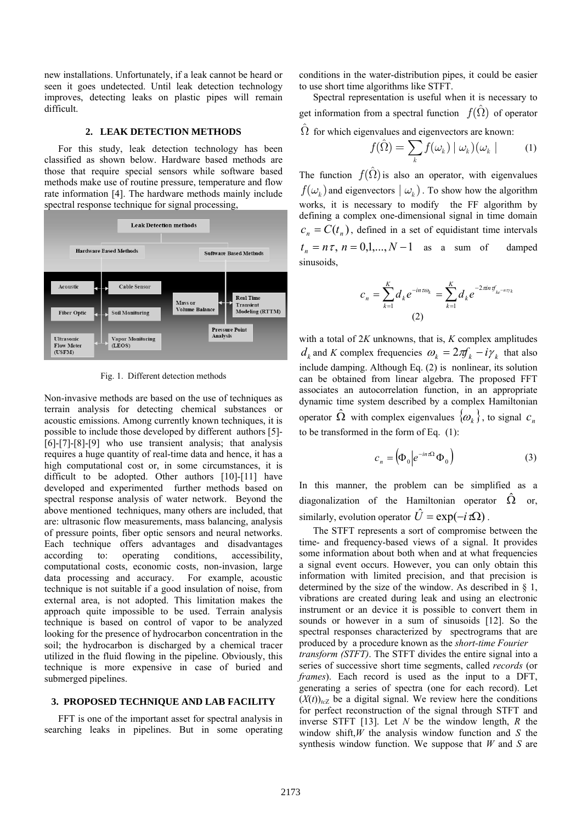new installations. Unfortunately, if a leak cannot be heard or seen it goes undetected. Until leak detection technology improves, detecting leaks on plastic pipes will remain difficult.

#### **2. LEAK DETECTION METHODS**

For this study, leak detection technology has been classified as shown below. Hardware based methods are those that require special sensors while software based methods make use of routine pressure, temperature and flow rate information [4]. The hardware methods mainly include spectral response technique for signal processing,



Fig. 1. Different detection methods

Non-invasive methods are based on the use of techniques as terrain analysis for detecting chemical substances or acoustic emissions. Among currently known techniques, it is possible to include those developed by different authors [5]- [6]-[7]-[8]-[9] who use transient analysis; that analysis requires a huge quantity of real-time data and hence, it has a high computational cost or, in some circumstances, it is difficult to be adopted. Other authors [10]-[11] have developed and experimented further methods based on spectral response analysis of water network. Beyond the above mentioned techniques, many others are included, that are: ultrasonic flow measurements, mass balancing, analysis of pressure points, fiber optic sensors and neural networks. Each technique offers advantages and disadvantages according to: operating conditions, accessibility, computational costs, economic costs, non-invasion, large data processing and accuracy. For example, acoustic technique is not suitable if a good insulation of noise, from external area, is not adopted. This limitation makes the approach quite impossible to be used. Terrain analysis technique is based on control of vapor to be analyzed looking for the presence of hydrocarbon concentration in the soil; the hydrocarbon is discharged by a chemical tracer utilized in the fluid flowing in the pipeline. Obviously, this technique is more expensive in case of buried and submerged pipelines.

## **3. PROPOSED TECHNIQUE AND LAB FACILITY**

FFT is one of the important asset for spectral analysis in searching leaks in pipelines. But in some operating

conditions in the water-distribution pipes, it could be easier to use short time algorithms like STFT.

Spectral representation is useful when it is necessary to get information from a spectral function  $f(\Omega)$  of operator  $\Omega$  for which eigenvalues and eigenvectors are known:

$$
f(\hat{\Omega}) = \sum_{k} f(\omega_{k}) \mid \omega_{k}) (\omega_{k} \mid (1)
$$

The function  $f(\hat{\Omega})$  is also an operator, with eigenvalues  $f(\omega_k)$  and eigenvectors  $|\omega_k|$ . To show how the algorithm works, it is necessary to modify the FF algorithm by defining a complex one-dimensional signal in time domain  $c_n = C(t_n)$ , defined in a set of equidistant time intervals  $t_n = n\tau$ ,  $n = 0,1,...,N-1$  as a sum of damped sinusoids,

$$
c_n = \sum_{k=1}^{K} d_k e^{-in\tau\omega_k} = \sum_{k=1}^{K} d_k e^{-2\pi in\mathcal{F}_{ke^{-n\tau/\kappa}}}
$$
\n(2)

with a total of 2*K* unknowns, that is, *K* complex amplitudes  $d_k$  and *K* complex frequencies  $\omega_k = 2\pi f_k - i\gamma_k$  that also include damping. Although Eq. (2) is nonlinear, its solution can be obtained from linear algebra. The proposed FFT associates an autocorrelation function, in an appropriate dynamic time system described by a complex Hamiltonian operator  $\hat{\Omega}$  with complex eigenvalues  $\{\omega_k\}$ , to signal  $c_n$ to be transformed in the form of Eq. (1):

$$
c_n = \left(\Phi_0 \middle| e^{-in\Omega} \Phi_0 \right) \tag{3}
$$

In this manner, the problem can be simplified as a diagonalization of the Hamiltonian operator  $\hat{\Omega}$  or, similarly, evolution operator  $\hat{U} = \exp(-i\tau \Omega)$ .

The STFT represents a sort of compromise between the time- and frequency-based views of a signal. It provides some information about both when and at what frequencies a signal event occurs. However, you can only obtain this information with limited precision, and that precision is determined by the size of the window. As described in § 1, vibrations are created during leak and using an electronic instrument or an device it is possible to convert them in sounds or however in a sum of sinusoids [12]. So the spectral responses characterized by spectrograms that are produced by a procedure known as the *short-time Fourier transform (STFT)*. The STFT divides the entire signal into a series of successive short time segments, called *records* (or *frames*). Each record is used as the input to a DFT, generating a series of spectra (one for each record). Let  $(X(t))_{t \in \mathbb{Z}}$  be a digital signal. We review here the conditions for perfect reconstruction of the signal through STFT and inverse STFT [13]. Let *N* be the window length, *R* the window shift,*W* the analysis window function and *S* the synthesis window function. We suppose that *W* and *S* are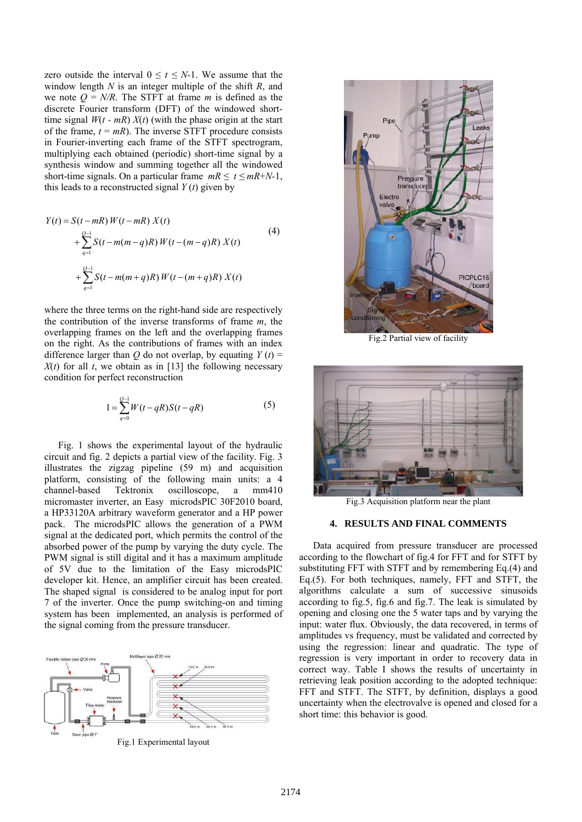zero outside the interval  $0 \le t \le N-1$ . We assume that the window length *N* is an integer multiple of the shift *R*, and we note  $Q = N/R$ . The STFT at frame *m* is defined as the discrete Fourier transform (DFT) of the windowed shorttime signal  $W(t - mR) X(t)$  (with the phase origin at the start of the frame,  $t = mR$ ). The inverse STFT procedure consists in Fourier-inverting each frame of the STFT spectrogram, multiplying each obtained (periodic) short-time signal by a synthesis window and summing together all the windowed short-time signals. On a particular frame  $mR \le t \le mR+N-1$ , this leads to a reconstructed signal  $Y(t)$  given by

$$
Y(t) = S(t - mR) W(t - mR) X(t)
$$
  
+ 
$$
\sum_{q=1}^{Q-1} S(t - m(m - q)R) W(t - (m - q)R) X(t)
$$
  
+ 
$$
\sum_{q=1}^{Q-1} S(t - m(m + q)R) W(t - (m + q)R) X(t)
$$
 (4)

where the three terms on the right-hand side are respectively the contribution of the inverse transforms of frame *m*, the overlapping frames on the left and the overlapping frames on the right. As the contributions of frames with an index difference larger than *Q* do not overlap, by equating  $Y(t) =$  $X(t)$  for all *t*, we obtain as in [13] the following necessary condition for perfect reconstruction

$$
1 = \sum_{q=0}^{Q-1} W(t - qR)S(t - qR)
$$
 (5)

 Fig. 1 shows the experimental layout of the hydraulic circuit and fig. 2 depicts a partial view of the facility. Fig. 3 illustrates the zigzag pipeline (59 m) and acquisition platform, consisting of the following main units: a 4 channel-based Tektronix oscilloscope, a mm410 micromaster inverter, an Easy microdsPIC 30F2010 board, a HP33120A arbitrary waveform generator and a HP power pack. The microdsPIC allows the generation of a PWM signal at the dedicated port, which permits the control of the absorbed power of the pump by varying the duty cycle. The PWM signal is still digital and it has a maximum amplitude of 5V due to the limitation of the Easy microdsPIC developer kit. Hence, an amplifier circuit has been created. The shaped signal is considered to be analog input for port 7 of the inverter. Once the pump switching-on and timing system has been implemented, an analysis is performed of the signal coming from the pressure transducer.



Fig.1 Experimental layout



Fig.2 Partial view of facility



Fig.3 Acquisition platform near the plant

#### **4. RESULTS AND FINAL COMMENTS**

Data acquired from pressure transducer are processed according to the flowchart of fig.4 for FFT and for STFT by substituting FFT with STFT and by remembering Eq.(4) and Eq.(5). For both techniques, namely, FFT and STFT, the algorithms calculate a sum of successive sinusoids according to fig.5, fig.6 and fig.7. The leak is simulated by opening and closing one the 5 water taps and by varying the input: water flux. Obviously, the data recovered, in terms of amplitudes vs frequency, must be validated and corrected by using the regression: linear and quadratic. The type of regression is very important in order to recovery data in correct way. Table I shows the results of uncertainty in retrieving leak position according to the adopted technique: FFT and STFT. The STFT, by definition, displays a good uncertainty when the electrovalve is opened and closed for a short time: this behavior is good.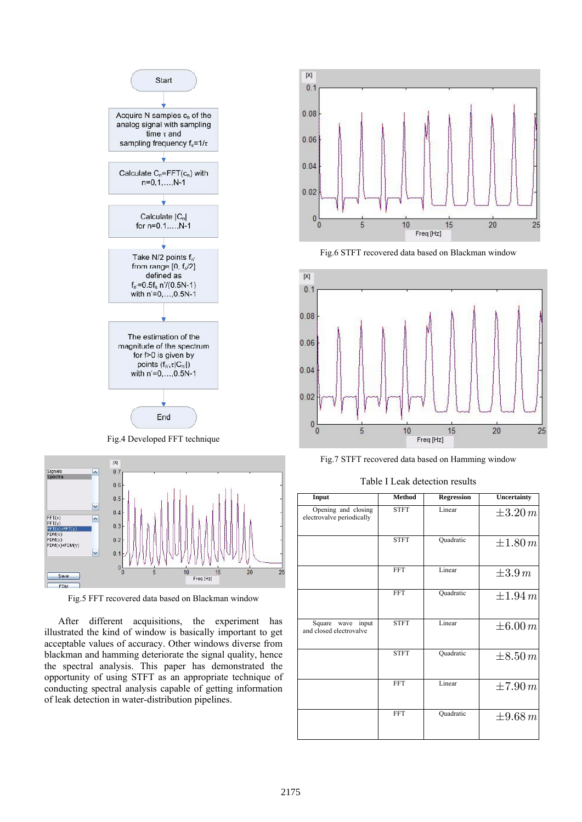

Fig.4 Developed FFT technique



Fig.5 FFT recovered data based on Blackman window

After different acquisitions, the experiment has illustrated the kind of window is basically important to get acceptable values of accuracy. Other windows diverse from blackman and hamming deteriorate the signal quality, hence the spectral analysis. This paper has demonstrated the opportunity of using STFT as an appropriate technique of conducting spectral analysis capable of getting information of leak detection in water-distribution pipelines.



Fig.6 STFT recovered data based on Blackman window





Table I Leak detection results

| Input                                            | <b>Method</b> | <b>Regression</b> | <b>Uncertainty</b> |
|--------------------------------------------------|---------------|-------------------|--------------------|
| Opening and closing<br>electrovalve periodically | <b>STFT</b>   | Linear            | $\pm 3.20\,m$      |
|                                                  | <b>STFT</b>   | Quadratic         | $\pm 1.80\,m$      |
|                                                  | <b>FFT</b>    | Linear            | $\pm 3.9 m$        |
|                                                  | <b>FFT</b>    | Quadratic         | $\pm 1.94\, m$     |
| Square wave input<br>and closed electrovalve     | <b>STFT</b>   | Linear            | $\pm 6.00\,m$      |
|                                                  | <b>STFT</b>   | Quadratic         | $\pm 8.50\,m$      |
|                                                  | <b>FFT</b>    | Linear            | $\pm 7.90 m$       |
|                                                  | <b>FFT</b>    | Quadratic         | $\pm 9.68 m$       |